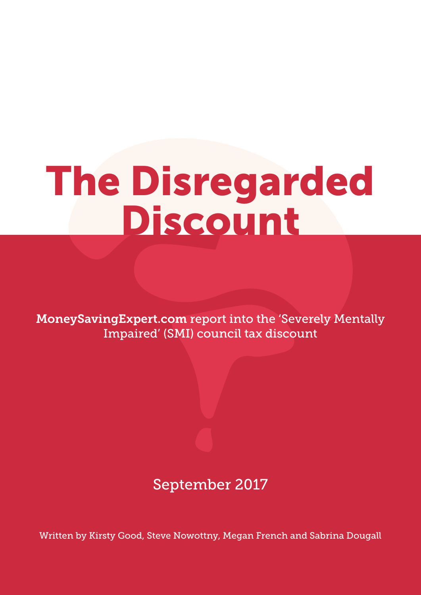# The Disregarded Discount

MoneySavingExpert.com report into the 'Severely Mentally Impaired' (SMI) council tax discount

## September 2017

Written by Kirsty Good, Steve Nowottny, Megan French and Sabrina Dougall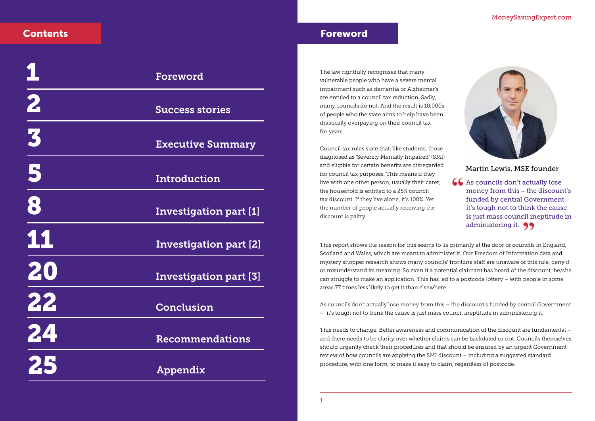

## Foreword

## Martin Lewis, MSE founder

The law rightfully recognises that many vulnerable people who have a severe mental impairment such as dementia or Alzheimer's are entitled to a council tax reduction. Sadly, many councils do not. And the result is 10,000s of people who the state aims to help have been drastically overpaying on their council tax for years.

Council tax rules state that, like students, those diagnosed as 'Severely Mentally Impaired' (SMI) and eligible for certain benefits are disregarded for council tax purposes. This means if they live with one other person, usually their carer, the household is entitled to a 25% council tax discount. If they live alone, it's 100%. Yet the number of people actually receiving the discount is paltry.

As councils don't actually lose money from this – the discount's funded by central Government – it's tough not to think the cause is just mass council ineptitude in administering it. **99**<br><sup>riv. at the door of councils</sub></sup> **"**

This report shows the reason for this seems to lie primarily at the door of councils in England, Scotland and Wales, which are meant to administer it. Our Freedom of Information data and mystery shopper research shows many councils' frontline staff are unaware of this rule, deny it or misunderstand its meaning. So even if a potential claimant has heard of the discount, he/she can struggle to make an application. This has led to a postcode lottery – with people in some areas 77 times less likely to get it than elsewhere.

As councils don't actually lose money from this – the discount's funded by central Government – it's tough not to think the cause is just mass council ineptitude in administering it.

This needs to change. Better awareness and communication of the discount are fundamental – and there needs to be clarity over whether claims can be backdated or not. Councils themselves should urgently check their procedures and that should be ensured by an urgent Government review of how councils are applying the SMI discount – including a suggested standard procedure, with one form, to make it easy to claim, regardless of postcode.

## **Contents**

|                                                                                                   | Foreword                      |
|---------------------------------------------------------------------------------------------------|-------------------------------|
|                                                                                                   | <b>Success stories</b>        |
| $\begin{array}{c c} \hline \textbf{2} & \textbf{3} \\ \hline \textbf{3} & \textbf{3} \end{array}$ | <b>Executive Summary</b>      |
| $\frac{5}{8}$                                                                                     | Introduction                  |
|                                                                                                   | <b>Investigation part [1]</b> |
| $\frac{11}{20}$                                                                                   | <b>Investigation part [2]</b> |
|                                                                                                   | <b>Investigation part [3]</b> |
| $\begin{array}{c} \n \textbf{22} \\  \hline \n \end{array}$                                       | Conclusion                    |
| 24                                                                                                | Recommendations               |
| 25                                                                                                | Appendix                      |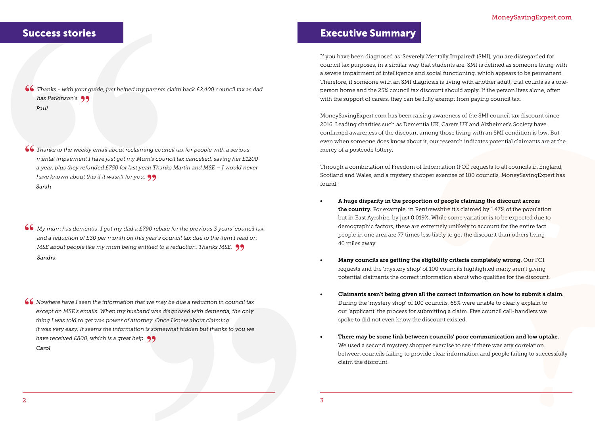If you have been diagnosed as 'Severely Mentally Impaired' (SMI), you are disregarded for council tax purposes, in a similar way that students are. SMI is defined as someone living with a severe impairment of intelligence and social functioning, which appears to be permanent. Therefore, if someone with an SMI diagnosis is living with another adult, that counts as a oneperson home and the 25% council tax discount should apply. If the person lives alone, often with the support of carers, they can be fully exempt from paying council tax.

MoneySavingExpert.com has been raising awareness of the SMI council tax discount since 2016. Leading charities such as Dementia UK, Carers UK and Alzheimer's Society have confirmed awareness of the discount among those living with an SMI condition is low. But even when someone does know about it, our research indicates potential claimants are at the mercy of a postcode lottery.

Through a combination of Freedom of Information (FOI) requests to all councils in England, Scotland and Wales, and a mystery shopper exercise of 100 councils, MoneySavingExpert has found:

that we may be due a reduction in council tax<br>band was diagnosed with dementia, the only<br>tomey. Once I knew about claiming<br>ion is somewhat hidden but thanks to you we<br>elp. 99 *Nowhere have I seen the information that we may be due a reduction in council tax*  **"** *except on MSE's emails. When my husband was diagnosed with dementia, the only thing I was told to get was power of attorney. Once I knew about claiming it was very easy. It seems the information is somewhat hidden but thanks to you we have received £800, which is a great help.* **"***Carol*

## Success stories and the stories of the state of the Executive Summary

**Success stories**<br> **(6)** Thanks - with your guide, just helped my parents class Parkinson's. 99<br>
Paul *Thanks - with your guide, just helped my parents claim back £2,400 council tax as dad* **"** has Parkinson's. **99**<br>Paul *Paul*

- A huge disparity in the proportion of people claiming the discount across the country. For example, in Renfrewshire it's claimed by 1.47% of the population but in East Ayrshire, by just 0.019%. While some variation is to be expected due to demographic factors, these are extremely unlikely to account for the entire fact people in one area are 77 times less likely to get the discount than others living 40 miles away.
- Many councils are getting the eligibility criteria completely wrong. Our FOI requests and the 'mystery shop' of 100 councils highlighted many aren't giving potential claimants the correct information about who qualifies for the discount.
- During the 'mystery shop' of 100 councils, 68% were unable to clearly explain to our 'applicant' the process for submitting a claim. Five council call-handlers we spoke to did not even know the discount existed.
- There may be some link between councils' poor communication and low uptake. We used a second mystery shopper exercise to see if there was any correlation claim the discount.

#### • Claimants aren't being given all the correct information on how to submit a claim.

between councils failing to provide clear information and people failing to successfully

*Thanks to the weekly email about reclaiming council tax for people with a serious*  **"** *mental impairment I have just got my Mum's council tax cancelled, saving her £1200 a year, plus they refunded £750 for last year! Thanks Martin and MSE – I would never have known about this if it wasn't for you.* **"** *Sarah*

*My mum has dementia. I got my dad a £790 rebate for the previous 3 years' council tax, and a reduction of £30 per month on this year's council tax due to the item I read on MSE about people like my mum being entitled to a reduction. Thanks MSE.* **"** *Sandra* **"**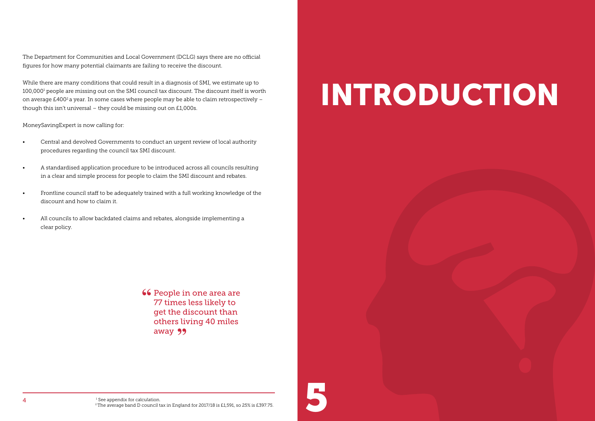The Department for Communities and Local Government (DCLG) says there are no official figures for how many potential claimants are failing to receive the discount.

While there are many conditions that could result in a diagnosis of SMI, we estimate up to 100,0001 people are missing out on the SMI council tax discount. The discount itself is worth on average  $£400<sup>2</sup>$  a year. In some cases where people may be able to claim retrospectively though this isn't universal – they could be missing out on £1,000s.

MoneySavingExpert is now calling for:

- Central and devolved Governments to conduct an urgent review of local authority procedures regarding the council tax SMI discount.
- A standardised application procedure to be introduced across all councils resulting in a clear and simple process for people to claim the SMI discount and rebates.
- Frontline council staff to be adequately trained with a full working knowledge of the discount and how to claim it.
- All councils to allow backdated claims and rebates, alongside implementing a clear policy.

**66** People in one area are<br>77 times less likely to 77 times less likely to get the discount than others living 40 miles away 99

# INTRODUCTION

<sup>1</sup> See appendix for calculation.

<sup>2</sup> The average band D council tax in England for 2017/18 is £1,591, so 25% is £397.75.

5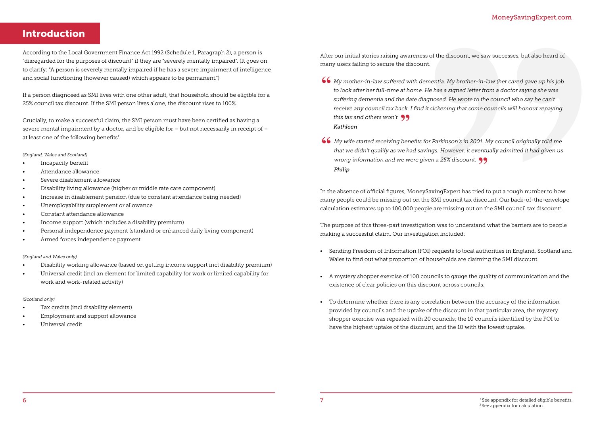MoneySavingExpert.com<br>
sess of the discount, we saw successees, but also heard of<br>
unt.<br> *Mementia. My brother-in-law ther carer)* gave up his job<br> *i. He has a signed letter from a doctor saying she was*<br> *distignosed. He* 

## Introduction

Crucially, to make a successful claim, the SMI person must have been certified as having a severe mental impairment by a doctor, and be eligible for – but not necessarily in receipt of – at least one of the following benefits $^1$ .

According to the Local Government Finance Act 1992 (Schedule 1, Paragraph 2), a person is "disregarded for the purposes of discount" if they are "severely mentally impaired". (It goes on to clarify: "A person is severely mentally impaired if he has a severe impairment of intelligence and social functioning (however caused) which appears to be permanent.")

If a person diagnosed as SMI lives with one other adult, that household should be eligible for a 25% council tax discount. If the SMI person lives alone, the discount rises to 100%.

- *My mother-in-law suffered with dementia. My brother-in-law (her carer) gave up his job*  **"** *to look after her full-time at home. He has a signed letter from a doctor saying she was suffering dementia and the date diagnosed. He wrote to the council who say he can't receive any council tax back. I find it sickening that some councils will honour repaying this tax and others won't.* **"** *Kathleen*
- *My wife started receiving benefits for Parkinson's in 2001. My council originally told me*  **"** *that we didn't qualify as we had savings. However, it eventually admitted it had given us wrong information and we were given a 25% discount.* **"** *Philip*

#### *(England, Wales and Scotland)*

- Incapacity benefit
- Attendance allowance
- Severe disablement allowance
- Disability living allowance (higher or middle rate care component)
- Increase in disablement pension (due to constant attendance being needed)
- Unemployability supplement or allowance
- Constant attendance allowance
- Income support (which includes a disability premium)
- Personal independence payment (standard or enhanced daily living component)
- Armed forces independence payment

#### *(England and Wales only)*

- Disability working allowance (based on getting income support incl disability premium)
- Universal credit (incl an element for limited capability for work or limited capability for work and work-related activity)

#### *(Scotland only)*

- Tax credits (incl disability element)
- Employment and support allowance
- Universal credit

In the absence of official figures, MoneySavingExpert has tried to put a rough number to how many people could be missing out on the SMI council tax discount. Our back-of-the-envelope calculation estimates up to 100,000 people are missing out on the SMI council tax discount2.

The purpose of this three-part investigation was to understand what the barriers are to people making a successful claim. Our investigation included:

- Sending Freedom of Information (FOI) requests to local authorities in England, Scotland and Wales to find out what proportion of households are claiming the SMI discount.
- A mystery shopper exercise of 100 councils to gauge the quality of communication and the existence of clear policies on this discount across councils.
- To determine whether there is any correlation between the accuracy of the information provided by councils and the uptake of the discount in that particular area, the mystery shopper exercise was repeated with 20 councils; the 10 councils identified by the FOI to have the highest uptake of the discount, and the 10 with the lowest uptake.

After our initial stories raising awareness of the discount, we saw successes, but also heard of many users failing to secure the discount.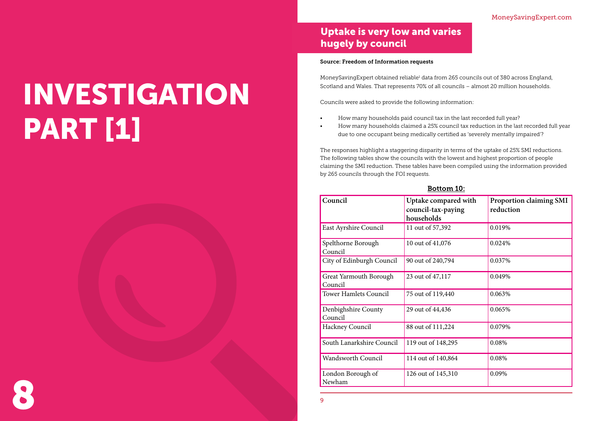# INVESTIGATION **PART [1]**



## Uptake is very low and varies hugely by council

#### Source: Freedom of Information requests

MoneySavingExpert obtained reliable<sup>1</sup> data from 265 councils out of 380 across England, Scotland and Wales. That represents 70% of all councils – almost 20 million households.

Councils were asked to provide the following information:

• How many households claimed a 25% council tax reduction in the last recorded full year

- How many households paid council tax in the last recorded full year?
- due to one occupant being medically certified as 'severely mentally impaired'?

The responses highlight a staggering disparity in terms of the uptake of 25% SMI reductions. The following tables show the councils with the lowest and highest proportion of people claiming the SMI reduction. These tables have been compiled using the information provided by 265 councils through the FOI requests.

### Bottom 10:

| Council                                  | Uptake compared with<br>council-tax-paying<br>households | <b>Proportion claiming SMI</b><br>reduction |
|------------------------------------------|----------------------------------------------------------|---------------------------------------------|
| <b>East Ayrshire Council</b>             | 11 out of 57,392                                         | 0.019%                                      |
| Spelthorne Borough<br>Council            | 10 out of 41,076                                         | 0.024%                                      |
| City of Edinburgh Council                | 90 out of 240,794                                        | 0.037%                                      |
| <b>Great Yarmouth Borough</b><br>Council | 23 out of 47,117                                         | 0.049%                                      |
| <b>Tower Hamlets Council</b>             | 75 out of 119,440                                        | 0.063%                                      |
| Denbighshire County<br>Council           | 29 out of 44,436                                         | 0.065%                                      |
| <b>Hackney Council</b>                   | 88 out of 111,224                                        | 0.079%                                      |
| South Lanarkshire Council                | 119 out of 148,295                                       | 0.08%                                       |
| <b>Wandsworth Council</b>                | 114 out of 140,864                                       | 0.08%                                       |
| London Borough of<br>Newham              | 126 out of 145,310                                       | 0.09%                                       |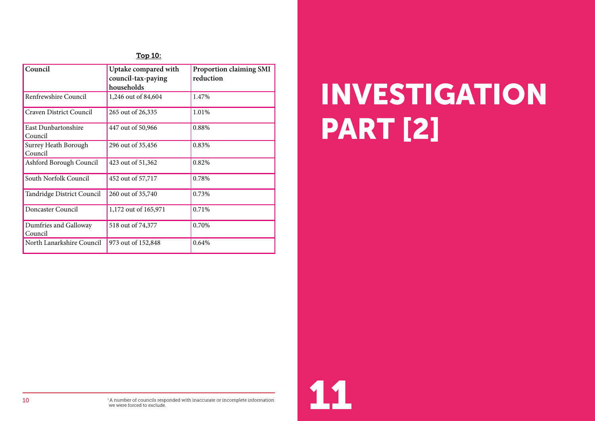### Top 10:

| Council                                | Uptake compared with<br>council-tax-paying<br>households | <b>Proportion claiming SMI</b><br>reduction |
|----------------------------------------|----------------------------------------------------------|---------------------------------------------|
| Renfrewshire Council                   | 1,246 out of 84,604                                      | 1.47%                                       |
| <b>Craven District Council</b>         | 265 out of 26,335                                        | 1.01%                                       |
| East Dunbartonshire<br>Council         | 447 out of 50,966                                        | 0.88%                                       |
| <b>Surrey Heath Borough</b><br>Council | 296 out of 35,456                                        | 0.83%                                       |
| Ashford Borough Council                | 423 out of 51,362                                        | 0.82%                                       |
| South Norfolk Council                  | 452 out of 57,717                                        | 0.78%                                       |
| Tandridge District Council             | 260 out of 35,740                                        | 0.73%                                       |
| Doncaster Council                      | 1,172 out of 165,971                                     | 0.71%                                       |
| Dumfries and Galloway<br>Council       | 518 out of 74,377                                        | 0.70%                                       |
| North Lanarkshire Council              | 973 out of 152,848                                       | 0.64%                                       |

# INVESTIGATION PART [2]

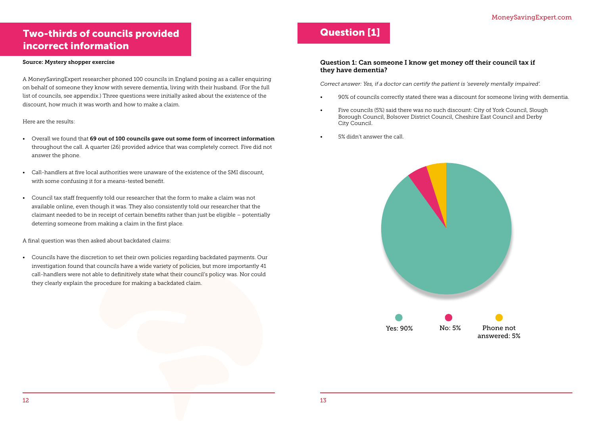## Two-thirds of councils provided incorrect information

#### Source: Mystery shopper exercise

A MoneySavingExpert researcher phoned 100 councils in England posing as a caller enquiring on behalf of someone they know with severe dementia, living with their husband. (For the full list of councils, see appendix.) Three questions were initially asked about the existence of the discount, how much it was worth and how to make a claim.

#### Here are the results:

- Overall we found that 69 out of 100 councils gave out some form of incorrect information throughout the call. A quarter (26) provided advice that was completely correct. Five did not answer the phone.
- Call-handlers at five local authorities were unaware of the existence of the SMI discount, with some confusing it for a means-tested benefit.
- Council tax staff frequently told our researcher that the form to make a claim was not available online, even though it was. They also consistently told our researcher that the claimant needed to be in receipt of certain benefits rather than just be eligible – potentially deterring someone from making a claim in the first place.

A final question was then asked about backdated claims:

• Councils have the discretion to set their own policies regarding backdated payments. Our investigation found that councils have a wide variety of policies, but more importantly 41 call-handlers were not able to definitively state what their council's policy was. Nor could they clearly explain the procedure for making a backdated claim.

## Question [1]

### Question 1: Can someone I know get money off their council tax if they have dementia?

*Correct answer: Yes, if a doctor can certify the patient is 'severely mentally impaired'.* 

• 90% of councils correctly stated there was a discount for someone living with dementia.

- 
- Five councils (5%) said there was no such discount: City of York Council, Slough Borough Council, Bolsover District Council, Cheshire East Council and Derby City Council.
- 5% didn't answer the call.

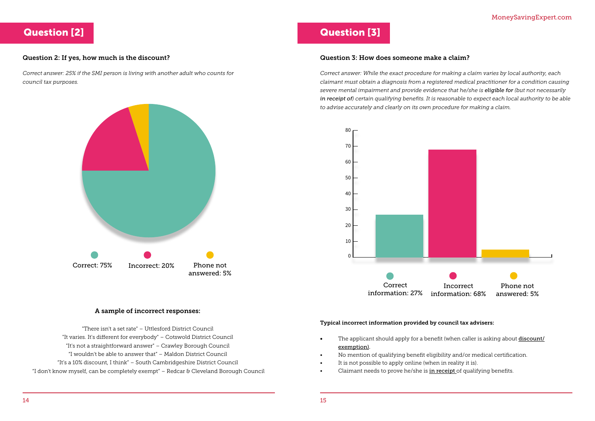## Question [2]

### Question 2: If yes, how much is the discount?

*Correct answer: 25% if the SMI person is living with another adult who counts for council tax purposes.* 

#### A sample of incorrect responses:

"There isn't a set rate" – Uttlesford District Council "It varies. It's different for everybody" – Cotswold District Council "It's not a straightforward answer" – Crawley Borough Council "I wouldn't be able to answer that" – Maldon District Council "It's a 10% discount, I think" – South Cambridgeshire District Council "I don't know myself, can be completely exempt" – Redcar & Cleveland Borough Council



- exemption).
- No mention of qualifying benefit eligibility and/or medical certification.
- It is not possible to apply online (when in reality it is).
- Claimant needs to prove he/she is in receipt of qualifying benefits.

## Question [3]

### Question 3: How does someone make a claim?

*Correct answer: While the exact procedure for making a claim varies by local authority, each claimant must obtain a diagnosis from a registered medical practitioner for a condition causing severe mental impairment and provide evidence that he/she is eligible for (but not necessarily in receipt of) certain qualifying benefits. It is reasonable to expect each local authority to be able to advise accurately and clearly on its own procedure for making a claim.* 

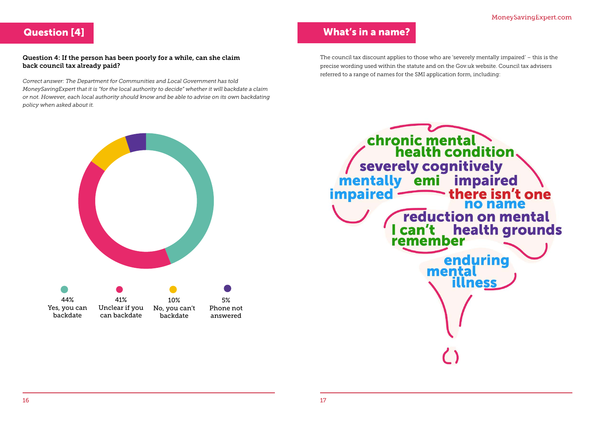## Question [4]

### Question 4: If the person has been poorly for a while, can she claim back council tax already paid?

*Correct answer: The Department for Communities and Local Government has told MoneySavingExpert that it is "for the local authority to decide" whether it will backdate a claim or not. However, each local authority should know and be able to advise on its own backdating policy when asked about it.*

## MoneySavingExpert.com MoneySavingExpert.com





## What's in a name?

The council tax discount applies to those who are 'severely mentally impaired' – this is the precise wording used within the statute and on the Gov.uk website. Council tax advisers referred to a range of names for the SMI application form, including: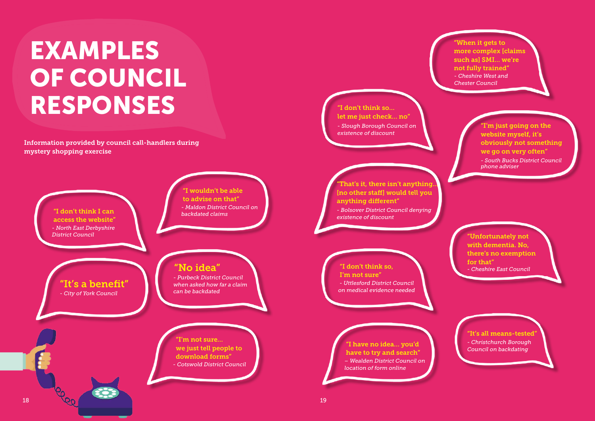"I don't think so…

let me just check… no"

*- Slough Borough Council on* 

*existence of discount*

"I'm just going on the website myself, it's obviously not something we go on very often" *- South Bucks District Council phone adviser*

"Unfortunately not with dementia. No, there's no exemption for that"



"When it gets to more complex [claims such as] SMI… we're not fully trained" *- Cheshire West and Chester Council*

> "It's all means-tested" *- Christchurch Borough Council on backdating*

# EXAMPLES OF COUNCIL RESPONSES

Information provided by council call-handlers during mystery shopping exercise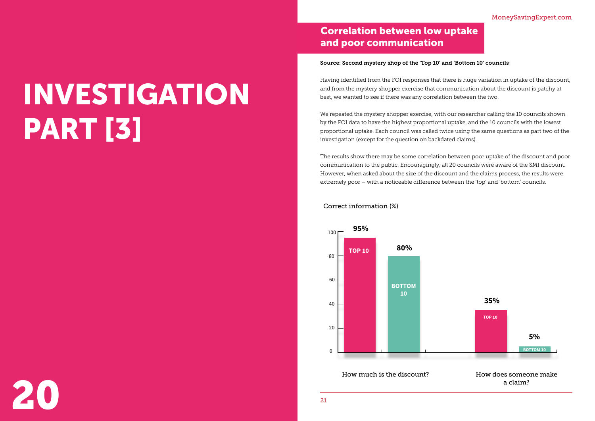



# INVESTIGATION PART [3]

20

## Correlation between low uptake and poor communication

#### Source: Second mystery shop of the 'Top 10' and 'Bottom 10' councils

Having identified from the FOI responses that there is huge variation in uptake of the discount, and from the mystery shopper exercise that communication about the discount is patchy at best, we wanted to see if there was any correlation between the two.

We repeated the mystery shopper exercise, with our researcher calling the 10 councils shown by the FOI data to have the highest proportional uptake, and the 10 councils with the lowest proportional uptake. Each council was called twice using the same questions as part two of the investigation (except for the question on backdated claims).

The results show there may be some correlation between poor uptake of the discount and poor communication to the public. Encouragingly, all 20 councils were aware of the SMI discount. However, when asked about the size of the discount and the claims process, the results were extremely poor – with a noticeable difference between the 'top' and 'bottom' councils.

How much is the discount? How does someone make

## a claim?





Correct information (%)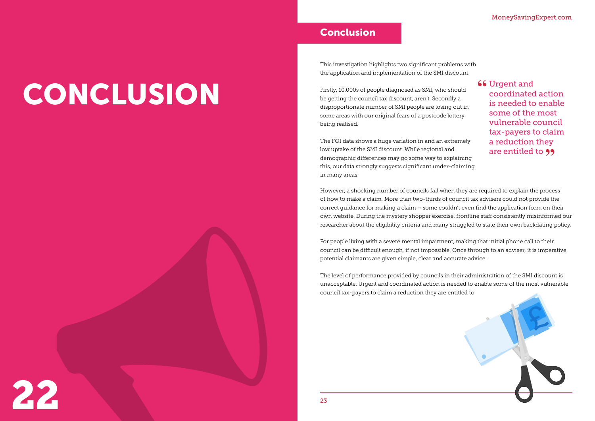| lems with |  |  |  |
|-----------|--|--|--|
| .scount.  |  |  |  |

**66** Urgent and coordinated coordinated action is needed to enable some of the most vulnerable council tax-payers to claim a reduction they are entitled to **99** 

# CONCLUSION

## Conclusion

This investigation highlights two significant prob the application and implementation of the SMI di

However, a shocking number of councils fail when they are required to explain the process of how to make a claim. More than two-thirds of council tax advisers could not provide the correct guidance for making a claim – some couldn't even find the application form on their own website. During the mystery shopper exercise, frontline staff consistently misinformed our researcher about the eligibility criteria and many struggled to state their own backdating policy.

For people living with a severe mental impairment, making that initial phone call to their council can be difficult enough, if not impossible. Once through to an adviser, it is imperative potential claimants are given simple, clear and accurate advice.

The level of performance provided by councils in their administration of the SMI discount is unacceptable. Urgent and coordinated action is needed to enable some of the most vulnerable council tax-payers to claim a reduction they are entitled to.

Firstly, 10,000s of people diagnosed as SMI, who should be getting the council tax discount, aren't. Secondly a disproportionate number of SMI people are losing out in some areas with our original fears of a postcode lottery being realised.

The FOI data shows a huge variation in and an extremely low uptake of the SMI discount. While regional and demographic differences may go some way to explaining this, our data strongly suggests significant under-claiming in many areas.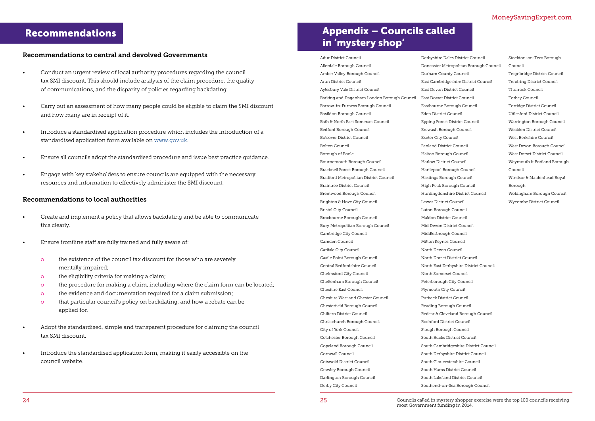## Recommendations

#### Recommendations to central and devolved Governments

- Conduct an urgent review of local authority procedures regarding the council tax SMI discount. This should include analysis of the claim procedure, the quality of communications, and the disparity of policies regarding backdating.
- Carry out an assessment of how many people could be eligible to claim the SMI discount and how many are in receipt of it.
- Introduce a standardised application procedure which includes the introduction of a standardised application form available on [www.gov.uk](http://www.gov.uk).
- Ensure all councils adopt the standardised procedure and issue best practice guidance.
- Engage with key stakeholders to ensure councils are equipped with the necessary resources and information to effectively administer the SMI discount.

#### Recommendations to local authorities

- Create and implement a policy that allows backdating and be able to communicate this clearly.
- Ensure frontline staff are fully trained and fully aware of:
	- o the existence of the council tax discount for those who are severely mentally impaired;
	- o the eligibility criteria for making a claim;
	- o the procedure for making a claim, including where the claim form can be located;
	- o the evidence and documentation required for a claim submission;
	- o that particular council's policy on backdating, and how a rebate can be applied for.
- Adopt the standardised, simple and transparent procedure for claiming the council tax SMI discount.
- Introduce the standardised application form, making it easily accessible on the council website.

## Appendix – Councils called in 'mystery shop'

Adur District Council Allerdale Borough Council Amber Valley Borough Council Arun District Council Aylesbury Vale District Council Barking and Dagenham London Borough Council Barrow-in-Furness Borough Council Basildon Borough Council Bath & North East Somerset Council Bedford Borough Council Bolsover District Council Bolton Council Borough of Poole Bournemouth Borough Council Bracknell Forest Borough Council Bradford Metropolitan District Council Braintree District Council Brentwood Borough Council Brighton & Hove City Council Bristol City Council Broxbourne Borough Council Bury Metropolitan Borough Council Cambridge City Council Camden Council Carlisle City Council Castle Point Borough Council Central Bedfordshire Council Chelmsford City Council Cheltenham Borough Council Cheshire East Council Cheshire West and Chester Council Chesterfield Borough Council Chiltern District Council Christchurch Borough Council City of York Council Colchester Borough Council Copeland Borough Council Cornwall Council Cotswold District Council Crawley Borough Council Darlington Borough Council Derby City Council Durham County Council East Devon District Council East Dorset District Council Eden District Council Erewash Borough Council Exeter City Council Fenland District Council Halton Borough Council Harlow District Council Hastings Borough Council High Peak Borough Council Lewes District Council Luton Borough Council Maldon District Council Mid Devon District Council Middlesbrough Council Milton Keynes Council North Devon Council

- Derbyshire Dales District Council Doncaster Metropolitan Borough Council East Cambridgeshire District Council Eastbourne Borough Council Epping Forest District Council Hartlepool Borough Council Huntingdonshire District Council North Dorset District Council North East Derbyshire District Council Stockton-on-Tees Borough Council Teignbridge District Council Tendring District Council Thurrock Council Torbay Council Torridge District Council Uttlesford District Council Warrington Borough Council Wealden District Council West Berkshire Council West Devon Borough Council West Dorset District Council Weymouth & Portland Borough Council Windsor & Maidenhead Royal Borough Wokingham Borough Council Wycombe District Council
- North Somerset Council
- Peterborough City Council
- Plymouth City Council
- Purbeck District Council
- Reading Borough Council
- Redcar & Cleveland Borough Council
- Rochford District Council
- Slough Borough Council
- South Bucks District Council
- South Cambridgeshire District Council
- South Derbyshire District Council
- South Gloucestershire Council
- South Hams District Council
- South Lakeland District Council
- Southend-on-Sea Borough Council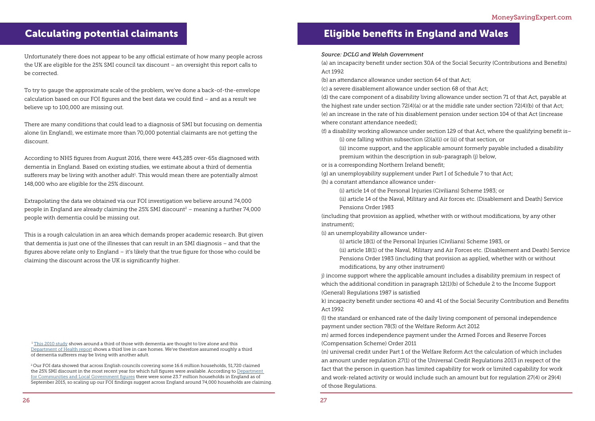<sup>1</sup> [This 2010 study](https://www.ncbi.nlm.nih.gov/pubmed/20214844) shows around a third of those with dementia are thought to live alone and this Department of Health report shows a third live in care homes. We've therefore assumed roughly a third of dementia sufferers may be living with another adult.

<sup>2</sup> Our FOI data showed that across English councils covering some 16.6 million households, 51,720 claimed the 25% SMI discount in the most recent year for which full figures were available. According to Department [for Communities and Local Government figures](https://www.gov.uk/government/uploads/system/uploads/attachment_data/file/478366/Local_Authority_Council_Tax_base_England_2015_Statistical_Release.pdf) there were some 23.7 million households in England as of September 2015, so scaling up our FOI findings suggest across England around 74,000 households are claiming.

Unfortunately there does not appear to be any official estimate of how many people across the UK are eligible for the 25% SMI council tax discount – an oversight this report calls to be corrected.

To try to gauge the approximate scale of the problem, we've done a back-of-the-envelope calculation based on our FOI figures and the best data we could find – and as a result we believe up to 100,000 are missing out.

There are many conditions that could lead to a diagnosis of SMI but focusing on dementia alone (in England), we estimate more than 70,000 potential claimants are not getting the discount.

According to NHS figures from August 2016, there were 443,285 over-65s diagnosed with dementia in England. Based on existing studies, we estimate about a third of dementia  $s$ ufferers may be living with another adult $^{1}$ . This would mean there are potentially almost 148,000 who are eligible for the 25% discount.

Extrapolating the data we obtained via our FOI investigation we believe around 74,000 people in England are already claiming the 25% SMI discount<sup>2</sup> – meaning a further 74,000 people with dementia could be missing out.

This is a rough calculation in an area which demands proper academic research. But given that dementia is just one of the illnesses that can result in an SMI diagnosis – and that the figures above relate only to England – it's likely that the true figure for those who could be claiming the discount across the UK is significantly higher.

## Calculating potential claimants Eligible benefits in England and Wales

*Source: DCLG and Welsh Government*

(a) an incapacity benefit under section 30A of the Social Security (Contributions and Benefits) Act 1992

(b) an attendance allowance under section 64 of that Act; (c) a severe disablement allowance under section 68 of that Act; (d) the care component of a disability living allowance under section 71 of that Act, payable at the highest rate under section 72(4)(a) or at the middle rate under section 72(4)(b) of that Act; (e) an increase in the rate of his disablement pension under section 104 of that Act (increase where constant attendance needed);

(f) a disability working allowance under section 129 of that Act, where the qualifying benefit is– (i) one falling within subsection (2)(a)(i) or (ii) of that section, or (ii) income support, and the applicable amount formerly payable included a disability premium within the description in sub-paragraph (j) below,

or is a corresponding Northern Ireland benefit; (g) an unemployability supplement under Part I of Schedule 7 to that Act; (h) a constant attendance allowance under-

(i) article 14 of the Personal Injuries (Civilians) Scheme 1983; or (ii) article 14 of the Naval, Military and Air forces etc. (Disablement and Death) Service Pensions Order 1983

(including that provision as applied, whether with or without modifications, by any other instrument);

(i) an unemployability allowance under-

(i) article 18(1) of the Personal Injuries (Civilians) Scheme 1983, or (ii) article 18(1) of the Naval, Military and Air Forces etc. (Disablement and Death) Service Pensions Order 1983 (including that provision as applied, whether with or without modifications, by any other instrument)

j) income support where the applicable amount includes a disability premium in respect of which the additional condition in paragraph 12(1)(b) of Schedule 2 to the Income Support (General) Regulations 1987 is satisfied k) incapacity benefit under sections 40 and 41 of the Social Security Contribution and Benefits

Act 1992 (l) the standard or enhanced rate of the daily living component of personal independence payment under section 78(3) of the Welfare Reform Act 2012

m) armed forces independence payment under the Armed Forces and Reserve Forces

(Compensation Scheme) Order 2011

(n) universal credit under Part 1 of the Welfare Reform Act the calculation of which includes an amount under regulation 27(1) of the Universal Credit Regulations 2013 in respect of the fact that the person in question has limited capability for work or limited capability for work and work-related activity or would include such an amount but for regulation 27(4) or 29(4) of those Regulations.